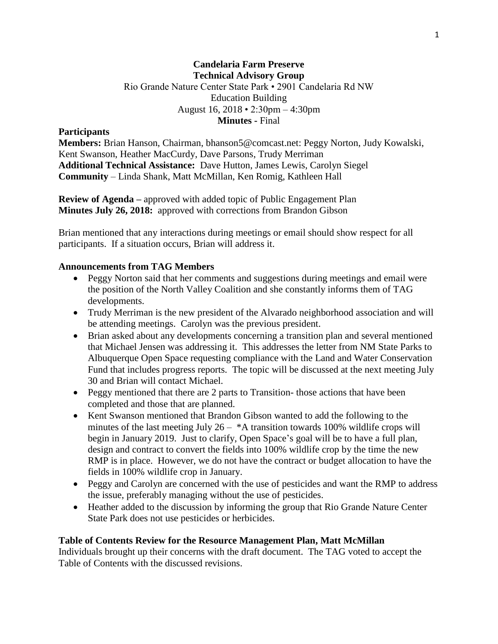## **Candelaria Farm Preserve Technical Advisory Group** Rio Grande Nature Center State Park • 2901 Candelaria Rd NW Education Building August 16, 2018 • 2:30pm – 4:30pm **Minutes -** Final

#### **Participants**

**Members:** Brian Hanson, Chairman, bhanson5@comcast.net: Peggy Norton, Judy Kowalski, Kent Swanson, Heather MacCurdy, Dave Parsons, Trudy Merriman **Additional Technical Assistance:** Dave Hutton, James Lewis, Carolyn Siegel **Community** – Linda Shank, Matt McMillan, Ken Romig, Kathleen Hall

**Review of Agenda –** approved with added topic of Public Engagement Plan **Minutes July 26, 2018:** approved with corrections from Brandon Gibson

Brian mentioned that any interactions during meetings or email should show respect for all participants. If a situation occurs, Brian will address it.

#### **Announcements from TAG Members**

- Peggy Norton said that her comments and suggestions during meetings and email were the position of the North Valley Coalition and she constantly informs them of TAG developments.
- Trudy Merriman is the new president of the Alvarado neighborhood association and will be attending meetings. Carolyn was the previous president.
- Brian asked about any developments concerning a transition plan and several mentioned that Michael Jensen was addressing it. This addresses the letter from NM State Parks to Albuquerque Open Space requesting compliance with the Land and Water Conservation Fund that includes progress reports. The topic will be discussed at the next meeting July 30 and Brian will contact Michael.
- Peggy mentioned that there are 2 parts to Transition- those actions that have been completed and those that are planned.
- Kent Swanson mentioned that Brandon Gibson wanted to add the following to the minutes of the last meeting July  $26 - A$  transition towards 100% wildlife crops will begin in January 2019. Just to clarify, Open Space's goal will be to have a full plan, design and contract to convert the fields into 100% wildlife crop by the time the new RMP is in place. However, we do not have the contract or budget allocation to have the fields in 100% wildlife crop in January.
- Peggy and Carolyn are concerned with the use of pesticides and want the RMP to address the issue, preferably managing without the use of pesticides.
- Heather added to the discussion by informing the group that Rio Grande Nature Center State Park does not use pesticides or herbicides.

### **Table of Contents Review for the Resource Management Plan, Matt McMillan**

Individuals brought up their concerns with the draft document. The TAG voted to accept the Table of Contents with the discussed revisions.